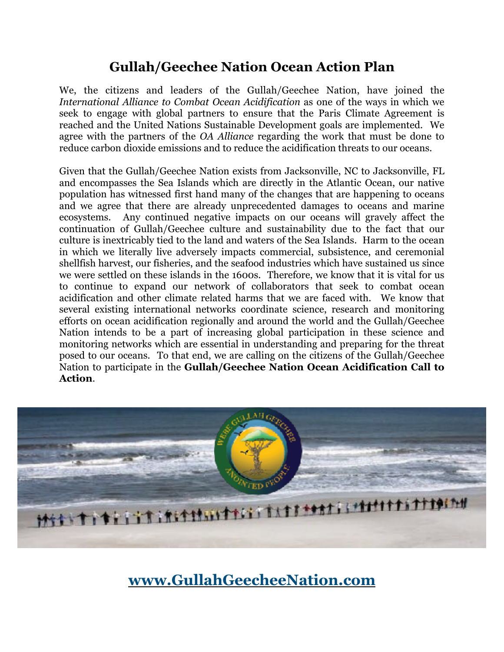# **Gullah/Geechee Nation Ocean Action Plan**

We, the citizens and leaders of the Gullah/Geechee Nation, have joined the *International Alliance to Combat Ocean Acidification* as one of the ways in which we seek to engage with global partners to ensure that the Paris Climate Agreement is reached and the United Nations Sustainable Development goals are implemented. We agree with the partners of the *OA Alliance* regarding the work that must be done to reduce carbon dioxide emissions and to reduce the acidification threats to our oceans.

Given that the Gullah/Geechee Nation exists from Jacksonville, NC to Jacksonville, FL and encompasses the Sea Islands which are directly in the Atlantic Ocean, our native population has witnessed first hand many of the changes that are happening to oceans and we agree that there are already unprecedented damages to oceans and marine ecosystems. Any continued negative impacts on our oceans will gravely affect the continuation of Gullah/Geechee culture and sustainability due to the fact that our culture is inextricably tied to the land and waters of the Sea Islands. Harm to the ocean in which we literally live adversely impacts commercial, subsistence, and ceremonial shellfish harvest, our fisheries, and the seafood industries which have sustained us since we were settled on these islands in the 1600s. Therefore, we know that it is vital for us to continue to expand our network of collaborators that seek to combat ocean acidification and other climate related harms that we are faced with. We know that several existing international networks coordinate science, research and monitoring efforts on ocean acidification regionally and around the world and the Gullah/Geechee Nation intends to be a part of increasing global participation in these science and monitoring networks which are essential in understanding and preparing for the threat posed to our oceans. To that end, we are calling on the citizens of the Gullah/Geechee Nation to participate in the **Gullah/Geechee Nation Ocean Acidification Call to Action**.



# **[www.GullahGeecheeNation.com](http://www.GullahGeecheeNation.com)**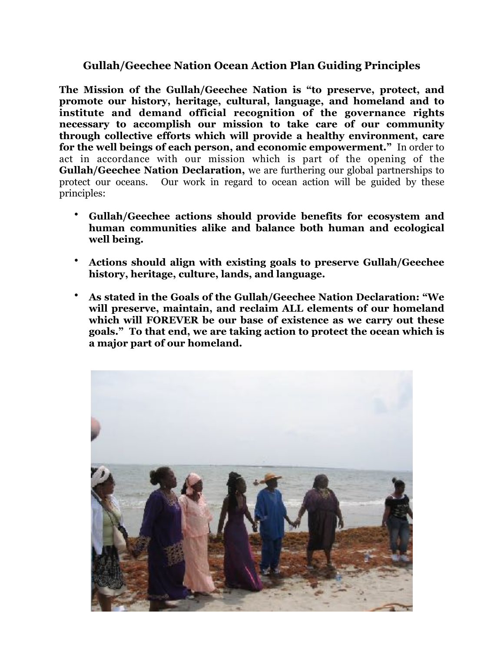#### **Gullah/Geechee Nation Ocean Action Plan Guiding Principles**

**The Mission of the Gullah/Geechee Nation is "to preserve, protect, and promote our history, heritage, cultural, language, and homeland and to institute and demand official recognition of the governance rights necessary to accomplish our mission to take care of our community through collective efforts which will provide a healthy environment, care for the well beings of each person, and economic empowerment."** In order to act in accordance with our mission which is part of the opening of the **Gullah/Geechee Nation Declaration,** we are furthering our global partnerships to protect our oceans. Our work in regard to ocean action will be guided by these principles:

- **Gullah/Geechee actions should provide benefits for ecosystem and human communities alike and balance both human and ecological well being.**
- **Actions should align with existing goals to preserve Gullah/Geechee history, heritage, culture, lands, and language.**
- **As stated in the Goals of the Gullah/Geechee Nation Declaration: "We will preserve, maintain, and reclaim ALL elements of our homeland which will FOREVER be our base of existence as we carry out these goals." To that end, we are taking action to protect the ocean which is a major part of our homeland.**

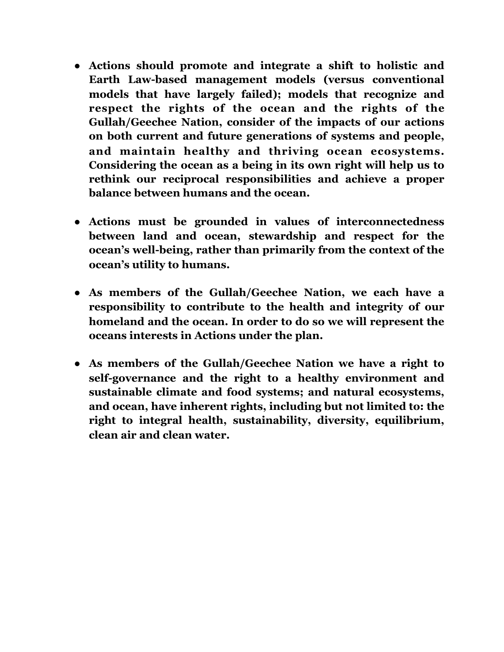- **● Actions should promote and integrate a shift to holistic and Earth Law-based management models (versus conventional models that have largely failed); models that recognize and respect the rights of the ocean and the rights of the Gullah/Geechee Nation, consider of the impacts of our actions on both current and future generations of systems and people, and maintain healthy and thriving ocean ecosystems. Considering the ocean as a being in its own right will help us to rethink our reciprocal responsibilities and achieve a proper balance between humans and the ocean.**
- **● Actions must be grounded in values of interconnectedness between land and ocean, stewardship and respect for the ocean's well-being, rather than primarily from the context of the ocean's utility to humans.**
- **● As members of the Gullah/Geechee Nation, we each have a responsibility to contribute to the health and integrity of our homeland and the ocean. In order to do so we will represent the oceans interests in Actions under the plan.**
- **● As members of the Gullah/Geechee Nation we have a right to self-governance and the right to a healthy environment and sustainable climate and food systems; and natural ecosystems, and ocean, have inherent rights, including but not limited to: the right to integral health, sustainability, diversity, equilibrium, clean air and clean water.**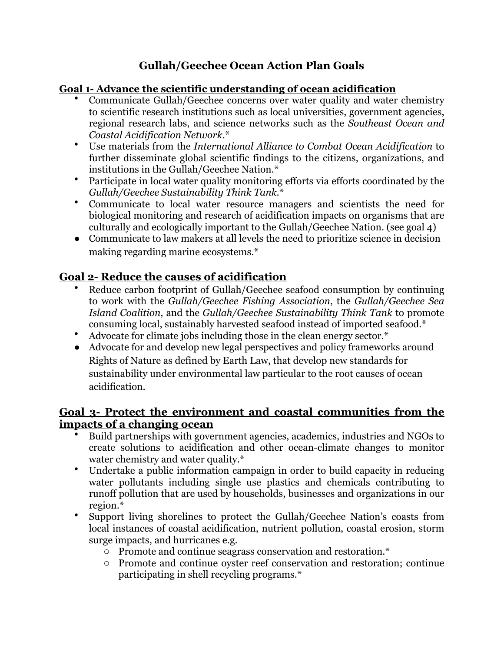## **Gullah/Geechee Ocean Action Plan Goals**

#### **Goal 1- Advance the scientific understanding of ocean acidification**

- Communicate Gullah/Geechee concerns over water quality and water chemistry to scientific research institutions such as local universities, government agencies, regional research labs, and science networks such as the *Southeast Ocean and Coastal Acidification Network.*\*
- Use materials from the *International Alliance to Combat Ocean Acidification* to further disseminate global scientific findings to the citizens, organizations, and institutions in the Gullah/Geechee Nation.\*
- Participate in local water quality monitoring efforts via efforts coordinated by the *Gullah/Geechee Sustainability Think Tank.*\*
- Communicate to local water resource managers and scientists the need for biological monitoring and research of acidification impacts on organisms that are culturally and ecologically important to the Gullah/Geechee Nation. (see goal 4)
- Communicate to law makers at all levels the need to prioritize science in decision making regarding marine ecosystems.\*

### **Goal 2- Reduce the causes of acidification**

- Reduce carbon footprint of Gullah/Geechee seafood consumption by continuing to work with the *Gullah/Geechee Fishing Association*, the *Gullah/Geechee Sea Island Coalition*, and the *Gullah/Geechee Sustainability Think Tank* to promote consuming local, sustainably harvested seafood instead of imported seafood.\*
- Advocate for climate jobs including those in the clean energy sector.\*
- Advocate for and develop new legal perspectives and policy frameworks around Rights of Nature as defined by Earth Law, that develop new standards for sustainability under environmental law particular to the root causes of ocean acidification.

#### **Goal 3- Protect the environment and coastal communities from the impacts of a changing ocean**

- Build partnerships with government agencies, academics, industries and NGOs to create solutions to acidification and other ocean-climate changes to monitor water chemistry and water quality.\*
- Undertake a public information campaign in order to build capacity in reducing water pollutants including single use plastics and chemicals contributing to runoff pollution that are used by households, businesses and organizations in our region.\*
- Support living shorelines to protect the Gullah/Geechee Nation's coasts from local instances of coastal acidification, nutrient pollution, coastal erosion, storm surge impacts, and hurricanes e.g.
	- o Promote and continue seagrass conservation and restoration.\*
	- o Promote and continue oyster reef conservation and restoration; continue participating in shell recycling programs.\*